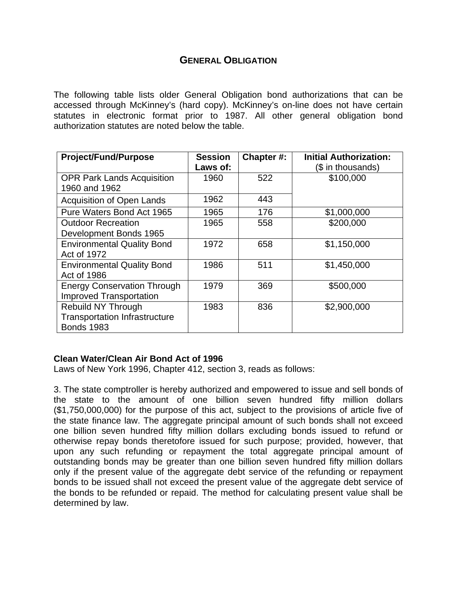# **GENERAL OBLIGATION**

The following table lists older General Obligation bond authorizations that can be accessed through McKinney's (hard copy). McKinney's on-line does not have certain statutes in electronic format prior to 1987. All other general obligation bond authorization statutes are noted below the table.

| <b>Project/Fund/Purpose</b>                        | <b>Session</b><br>Laws of: | Chapter #: | <b>Initial Authorization:</b><br>(\$ in thousands) |
|----------------------------------------------------|----------------------------|------------|----------------------------------------------------|
| <b>OPR Park Lands Acquisition</b><br>1960 and 1962 | 1960                       | 522        | \$100,000                                          |
| <b>Acquisition of Open Lands</b>                   | 1962                       | 443        |                                                    |
| Pure Waters Bond Act 1965                          | 1965                       | 176        | \$1,000,000                                        |
| <b>Outdoor Recreation</b>                          | 1965                       | 558        | \$200,000                                          |
| Development Bonds 1965                             |                            |            |                                                    |
| <b>Environmental Quality Bond</b>                  | 1972                       | 658        | \$1,150,000                                        |
| Act of 1972                                        |                            |            |                                                    |
| <b>Environmental Quality Bond</b>                  | 1986                       | 511        | \$1,450,000                                        |
| Act of 1986                                        |                            |            |                                                    |
| <b>Energy Conservation Through</b>                 | 1979                       | 369        | \$500,000                                          |
| <b>Improved Transportation</b>                     |                            |            |                                                    |
| <b>Rebuild NY Through</b>                          | 1983                       | 836        | \$2,900,000                                        |
| <b>Transportation Infrastructure</b>               |                            |            |                                                    |
| <b>Bonds 1983</b>                                  |                            |            |                                                    |

#### **Clean Water/Clean Air Bond Act of 1996**

Laws of New York 1996, Chapter 412, section 3, reads as follows:

3. The state comptroller is hereby authorized and empowered to issue and sell bonds of the state to the amount of one billion seven hundred fifty million dollars (\$1,750,000,000) for the purpose of this act, subject to the provisions of article five of the state finance law. The aggregate principal amount of such bonds shall not exceed one billion seven hundred fifty million dollars excluding bonds issued to refund or otherwise repay bonds theretofore issued for such purpose; provided, however, that upon any such refunding or repayment the total aggregate principal amount of outstanding bonds may be greater than one billion seven hundred fifty million dollars only if the present value of the aggregate debt service of the refunding or repayment bonds to be issued shall not exceed the present value of the aggregate debt service of the bonds to be refunded or repaid. The method for calculating present value shall be determined by law.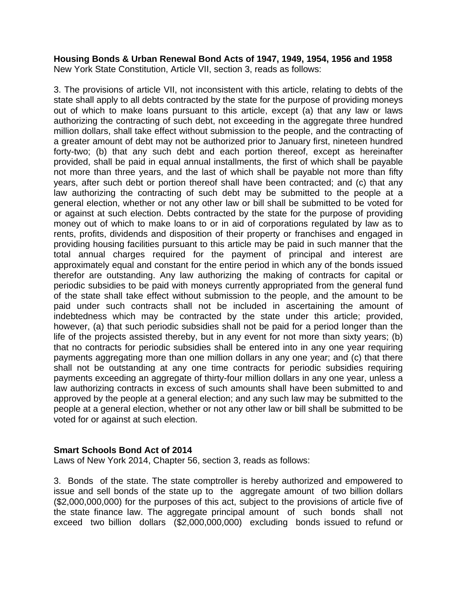**Housing Bonds & Urban Renewal Bond Acts of 1947, 1949, 1954, 1956 and 1958**  New York State Constitution, Article VII, section 3, reads as follows:

3. The provisions of article VII, not inconsistent with this article, relating to debts of the state shall apply to all debts contracted by the state for the purpose of providing moneys out of which to make loans pursuant to this article, except (a) that any law or laws authorizing the contracting of such debt, not exceeding in the aggregate three hundred million dollars, shall take effect without submission to the people, and the contracting of a greater amount of debt may not be authorized prior to January first, nineteen hundred forty-two; (b) that any such debt and each portion thereof, except as hereinafter provided, shall be paid in equal annual installments, the first of which shall be payable not more than three years, and the last of which shall be payable not more than fifty years, after such debt or portion thereof shall have been contracted; and (c) that any law authorizing the contracting of such debt may be submitted to the people at a general election, whether or not any other law or bill shall be submitted to be voted for or against at such election. Debts contracted by the state for the purpose of providing money out of which to make loans to or in aid of corporations regulated by law as to rents, profits, dividends and disposition of their property or franchises and engaged in providing housing facilities pursuant to this article may be paid in such manner that the total annual charges required for the payment of principal and interest are approximately equal and constant for the entire period in which any of the bonds issued therefor are outstanding. Any law authorizing the making of contracts for capital or periodic subsidies to be paid with moneys currently appropriated from the general fund of the state shall take effect without submission to the people, and the amount to be paid under such contracts shall not be included in ascertaining the amount of indebtedness which may be contracted by the state under this article; provided, however, (a) that such periodic subsidies shall not be paid for a period longer than the life of the projects assisted thereby, but in any event for not more than sixty years; (b) that no contracts for periodic subsidies shall be entered into in any one year requiring payments aggregating more than one million dollars in any one year; and (c) that there shall not be outstanding at any one time contracts for periodic subsidies requiring payments exceeding an aggregate of thirty-four million dollars in any one year, unless a law authorizing contracts in excess of such amounts shall have been submitted to and approved by the people at a general election; and any such law may be submitted to the people at a general election, whether or not any other law or bill shall be submitted to be voted for or against at such election.

# **Smart Schools Bond Act of 2014**

Laws of New York 2014, Chapter 56, section 3, reads as follows:

3. Bonds of the state. The state comptroller is hereby authorized and empowered to issue and sell bonds of the state up to the aggregate amount of two billion dollars (\$2,000,000,000) for the purposes of this act, subject to the provisions of article five of the state finance law. The aggregate principal amount of such bonds shall not exceed two billion dollars (\$2,000,000,000) excluding bonds issued to refund or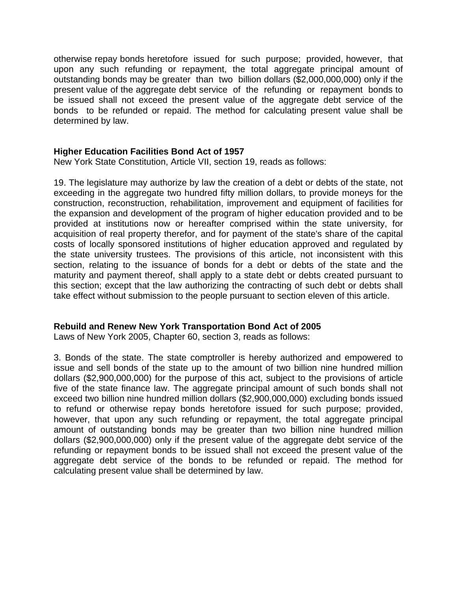otherwise repay bonds heretofore issued for such purpose; provided, however, that upon any such refunding or repayment, the total aggregate principal amount of outstanding bonds may be greater than two billion dollars (\$2,000,000,000) only if the present value of the aggregate debt service of the refunding or repayment bonds to be issued shall not exceed the present value of the aggregate debt service of the bonds to be refunded or repaid. The method for calculating present value shall be determined by law.

### **Higher Education Facilities Bond Act of 1957**

New York State Constitution, Article VII, section 19, reads as follows:

19. The legislature may authorize by law the creation of a debt or debts of the state, not exceeding in the aggregate two hundred fifty million dollars, to provide moneys for the construction, reconstruction, rehabilitation, improvement and equipment of facilities for the expansion and development of the program of higher education provided and to be provided at institutions now or hereafter comprised within the state university, for acquisition of real property therefor, and for payment of the state's share of the capital costs of locally sponsored institutions of higher education approved and regulated by the state university trustees. The provisions of this article, not inconsistent with this section, relating to the issuance of bonds for a debt or debts of the state and the maturity and payment thereof, shall apply to a state debt or debts created pursuant to this section; except that the law authorizing the contracting of such debt or debts shall take effect without submission to the people pursuant to section eleven of this article.

# **Rebuild and Renew New York Transportation Bond Act of 2005**

Laws of New York 2005, Chapter 60, section 3, reads as follows:

3. Bonds of the state. The state comptroller is hereby authorized and empowered to issue and sell bonds of the state up to the amount of two billion nine hundred million dollars (\$2,900,000,000) for the purpose of this act, subject to the provisions of article five of the state finance law. The aggregate principal amount of such bonds shall not exceed two billion nine hundred million dollars (\$2,900,000,000) excluding bonds issued to refund or otherwise repay bonds heretofore issued for such purpose; provided, however, that upon any such refunding or repayment, the total aggregate principal amount of outstanding bonds may be greater than two billion nine hundred million dollars (\$2,900,000,000) only if the present value of the aggregate debt service of the refunding or repayment bonds to be issued shall not exceed the present value of the aggregate debt service of the bonds to be refunded or repaid. The method for calculating present value shall be determined by law.